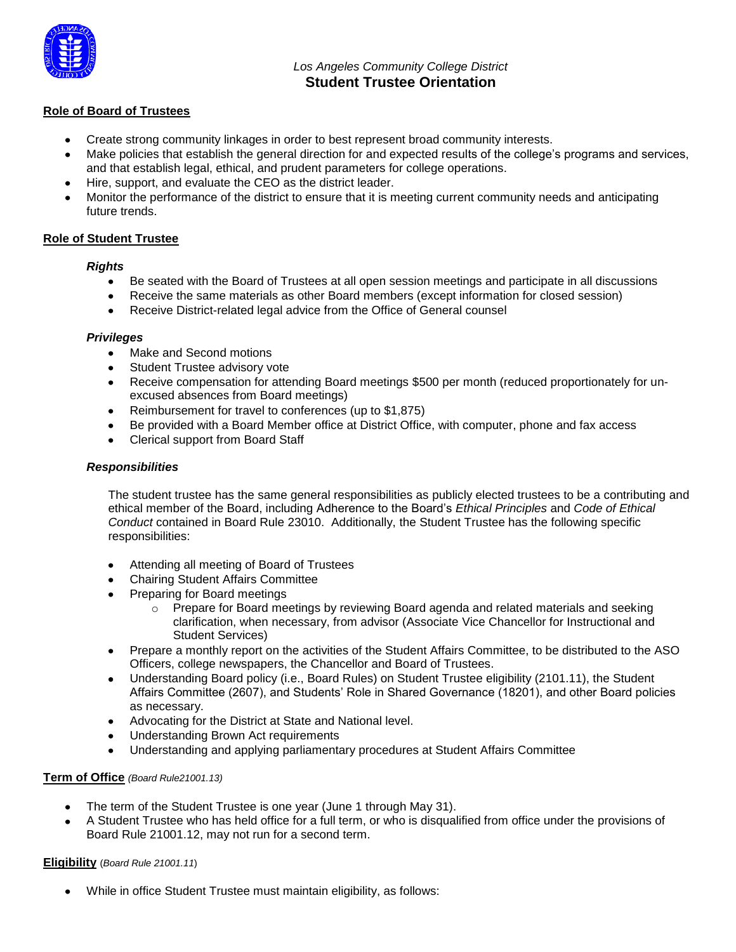

# *Los Angeles Community College District* **Student Trustee Orientation**

## **Role of Board of Trustees**

- Create strong community linkages in order to best represent broad community interests.
- Make policies that establish the general direction for and expected results of the college's programs and services, and that establish legal, ethical, and prudent parameters for college operations.
- Hire, support, and evaluate the CEO as the district leader.
- Monitor the performance of the district to ensure that it is meeting current community needs and anticipating future trends.

## **Role of Student Trustee**

### *Rights*

- Be seated with the Board of Trustees at all open session meetings and participate in all discussions
- Receive the same materials as other Board members (except information for closed session)
- Receive District-related legal advice from the Office of General counsel

#### *Privileges*

- Make and Second motions
- Student Trustee advisory vote
- Receive compensation for attending Board meetings \$500 per month (reduced proportionately for unexcused absences from Board meetings)
- Reimbursement for travel to conferences (up to \$1,875)
- Be provided with a Board Member office at District Office, with computer, phone and fax access
- Clerical support from Board Staff

### *Responsibilities*

The student trustee has the same general responsibilities as publicly elected trustees to be a contributing and ethical member of the Board, including Adherence to the Board's *Ethical Principles* and *Code of Ethical Conduct* contained in Board Rule 23010. Additionally, the Student Trustee has the following specific responsibilities:

- Attending all meeting of Board of Trustees  $\bullet$
- Chairing Student Affairs Committee
- Preparing for Board meetings
	- o Prepare for Board meetings by reviewing Board agenda and related materials and seeking clarification, when necessary, from advisor (Associate Vice Chancellor for Instructional and Student Services)
- Prepare a monthly report on the activities of the Student Affairs Committee, to be distributed to the ASO Officers, college newspapers, the Chancellor and Board of Trustees.
- Understanding Board policy (i.e., Board Rules) on Student Trustee eligibility (2101.11), the Student Affairs Committee (2607), and Students' Role in Shared Governance (18201), and other Board policies as necessary.
- Advocating for the District at State and National level.
- Understanding Brown Act requirements
- Understanding and applying parliamentary procedures at Student Affairs Committee

### **Term of Office** *(Board Rule21001.13)*

- The term of the Student Trustee is one year (June 1 through May 31).
- A Student Trustee who has held office for a full term, or who is disqualified from office under the provisions of Board Rule 21001.12, may not run for a second term.

### **Eligibility** (*Board Rule 21001.11*)

While in office Student Trustee must maintain eligibility, as follows: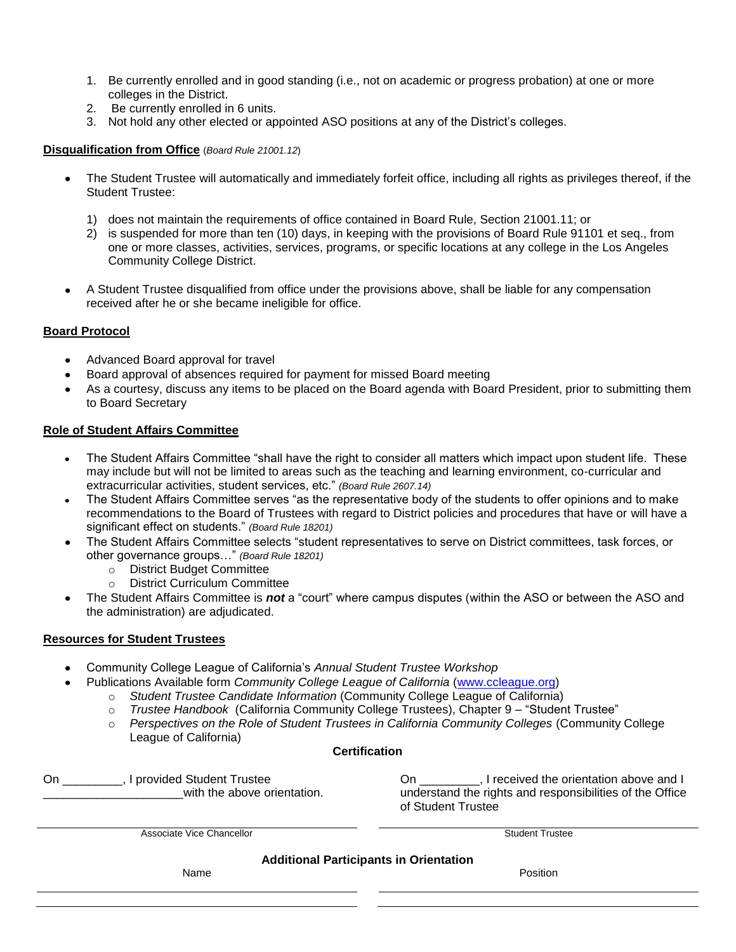- 1. Be currently enrolled and in good standing (i.e., not on academic or progress probation) at one or more colleges in the District.
- 2. Be currently enrolled in 6 units.
- 3. Not hold any other elected or appointed ASO positions at any of the District's colleges.

## **Disqualification from Office** (*Board Rule 21001.12*)

- The Student Trustee will automatically and immediately forfeit office, including all rights as privileges thereof, if the Student Trustee:
	- 1) does not maintain the requirements of office contained in Board Rule, Section 21001.11; or
	- 2) is suspended for more than ten (10) days, in keeping with the provisions of Board Rule 91101 et seq., from one or more classes, activities, services, programs, or specific locations at any college in the Los Angeles Community College District.
- A Student Trustee disqualified from office under the provisions above, shall be liable for any compensation received after he or she became ineligible for office.

## **Board Protocol**

- Advanced Board approval for travel
- Board approval of absences required for payment for missed Board meeting
- As a courtesy, discuss any items to be placed on the Board agenda with Board President, prior to submitting them to Board Secretary

## **Role of Student Affairs Committee**

- The Student Affairs Committee "shall have the right to consider all matters which impact upon student life. These may include but will not be limited to areas such as the teaching and learning environment, co-curricular and extracurricular activities, student services, etc." *(Board Rule 2607.14)*
- The Student Affairs Committee serves "as the representative body of the students to offer opinions and to make recommendations to the Board of Trustees with regard to District policies and procedures that have or will have a significant effect on students." *(Board Rule 18201)*
- The Student Affairs Committee selects "student representatives to serve on District committees, task forces, or other governance groups…" *(Board Rule 18201)*
	- o District Budget Committee
	- o District Curriculum Committee
- The Student Affairs Committee is *not* a "court" where campus disputes (within the ASO or between the ASO and the administration) are adjudicated.

### **Resources for Student Trustees**

- Community College League of California's *Annual Student Trustee Workshop*
- Publications Available form *Community College League of California* (www.ccleague.org)
	- o *Student Trustee Candidate Information* (Community College League of California)
	- o *Trustee Handbook* (California Community College Trustees), Chapter 9 "Student Trustee"
	- o *Perspectives on the Role of Student Trustees in California Community Colleges* (Community College League of California)

### **Certification**

On Fig. 1 provided Student Trustee with the above orientation. On \_\_\_\_\_\_\_\_\_, I received the orientation above and I understand the rights and responsibilities of the Office of Student Trustee

Associate Vice Chancellor **Student Trustee** 

**Additional Participants in Orientation**

Name Position